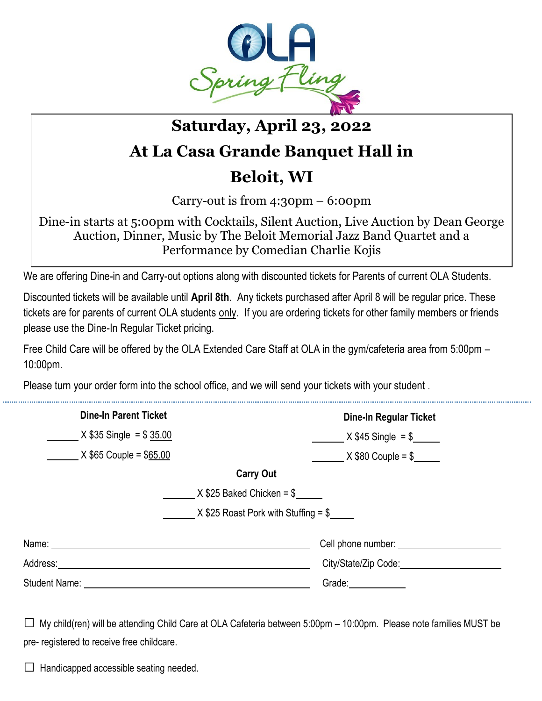

## **Saturday, April 23, 2022**

## **At La Casa Grande Banquet Hall in**

## **Beloit, WI**

Carry-out is from 4:30pm – 6:00pm

Dine-in starts at 5:00pm with Cocktails, Silent Auction, Live Auction by Dean George Auction, Dinner, Music by The Beloit Memorial Jazz Band Quartet and a Performance by Comedian Charlie Kojis

We are offering Dine-in and Carry-out options along with discounted tickets for Parents of current OLA Students.

Discounted tickets will be available until **April 8th**. Any tickets purchased after April 8 will be regular price. These tickets are for parents of current OLA students only. If you are ordering tickets for other family members or friends please use the Dine-In Regular Ticket pricing.

Free Child Care will be offered by the OLA Extended Care Staff at OLA in the gym/cafeteria area from 5:00pm – 10:00pm.

Please turn your order form into the school office, and we will send your tickets with your student .

| <b>Dine-In Parent Ticket</b> | <b>Dine-In Regular Ticket</b>          |
|------------------------------|----------------------------------------|
| $X $35$ Single = \$ 35.00    | $X $45$ Single = \$                    |
| $X $65$ Couple = \$65.00     | $X $80$ Couple = \$                    |
|                              | <b>Carry Out</b>                       |
|                              | $X $25$ Baked Chicken = \$             |
|                              | $X$ \$25 Roast Pork with Stuffing = \$ |
| Name: ___________            |                                        |
| Address:                     | City/State/Zip Code:                   |
| <b>Student Name:</b>         | Grade: <b>France</b>                   |

 $\square$  My child(ren) will be attending Child Care at OLA Cafeteria between 5:00pm – 10:00pm. Please note families MUST be pre- registered to receive free childcare.

 $\Box$  Handicapped accessible seating needed.